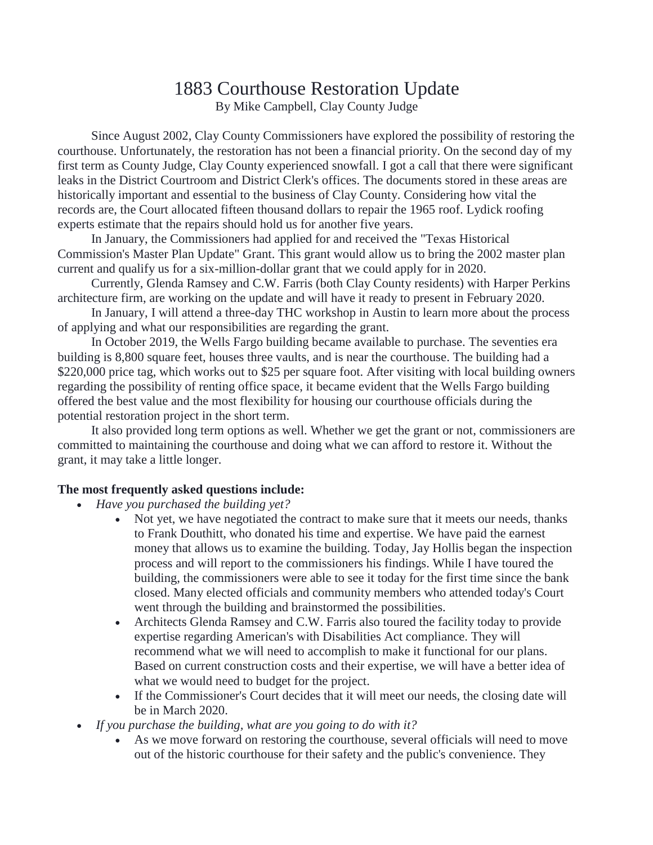## 1883 Courthouse Restoration Update

By Mike Campbell, Clay County Judge

Since August 2002, Clay County Commissioners have explored the possibility of restoring the courthouse. Unfortunately, the restoration has not been a financial priority. On the second day of my first term as County Judge, Clay County experienced snowfall. I got a call that there were significant leaks in the District Courtroom and District Clerk's offices. The documents stored in these areas are historically important and essential to the business of Clay County. Considering how vital the records are, the Court allocated fifteen thousand dollars to repair the 1965 roof. Lydick roofing experts estimate that the repairs should hold us for another five years.

In January, the Commissioners had applied for and received the "Texas Historical Commission's Master Plan Update" Grant. This grant would allow us to bring the 2002 master plan current and qualify us for a six-million-dollar grant that we could apply for in 2020.

Currently, Glenda Ramsey and C.W. Farris (both Clay County residents) with Harper Perkins architecture firm, are working on the update and will have it ready to present in February 2020.

In January, I will attend a three-day THC workshop in Austin to learn more about the process of applying and what our responsibilities are regarding the grant.

In October 2019, the Wells Fargo building became available to purchase. The seventies era building is 8,800 square feet, houses three vaults, and is near the courthouse. The building had a \$220,000 price tag, which works out to \$25 per square foot. After visiting with local building owners regarding the possibility of renting office space, it became evident that the Wells Fargo building offered the best value and the most flexibility for housing our courthouse officials during the potential restoration project in the short term.

It also provided long term options as well. Whether we get the grant or not, commissioners are committed to maintaining the courthouse and doing what we can afford to restore it. Without the grant, it may take a little longer.

## **The most frequently asked questions include:**

- *Have you purchased the building yet?* 
	- Not yet, we have negotiated the contract to make sure that it meets our needs, thanks to Frank Douthitt, who donated his time and expertise. We have paid the earnest money that allows us to examine the building. Today, Jay Hollis began the inspection process and will report to the commissioners his findings. While I have toured the building, the commissioners were able to see it today for the first time since the bank closed. Many elected officials and community members who attended today's Court went through the building and brainstormed the possibilities.
	- Architects Glenda Ramsey and C.W. Farris also toured the facility today to provide expertise regarding American's with Disabilities Act compliance. They will recommend what we will need to accomplish to make it functional for our plans. Based on current construction costs and their expertise, we will have a better idea of what we would need to budget for the project.
	- If the Commissioner's Court decides that it will meet our needs, the closing date will be in March 2020.
- *If you purchase the building, what are you going to do with it?*
	- As we move forward on restoring the courthouse, several officials will need to move out of the historic courthouse for their safety and the public's convenience. They